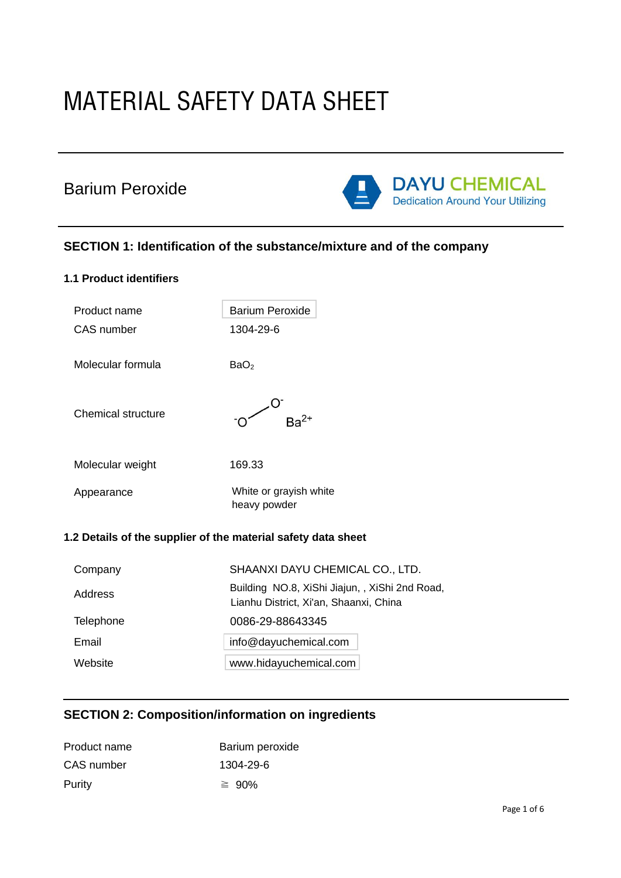# MATERIAL SAFETY DATA SHEET

## Barium Peroxide



## **SECTION 1: Identification of the substance/mixture and of the company**

| <b>1.1 Product identifiers</b>                                |                                        |
|---------------------------------------------------------------|----------------------------------------|
| Product name                                                  | <b>Barium Peroxide</b>                 |
| <b>CAS</b> number                                             | 1304-29-6                              |
| Molecular formula                                             | BaO <sub>2</sub>                       |
| <b>Chemical structure</b>                                     |                                        |
| Molecular weight                                              | 169.33                                 |
| Appearance                                                    | White or grayish white<br>heavy powder |
| 1.2 Details of the supplier of the material safety data sheet |                                        |
| Company                                                       | SHAANXI DAYU CHEMICAL CO., LTD.        |

| <b>COLLIDALIV</b> | SHAAINAI DATU UHEIVIIUAL UU LTD.                                                         |
|-------------------|------------------------------------------------------------------------------------------|
| Address           | Building NO.8, XiShi Jiajun, , XiShi 2nd Road,<br>Lianhu District, Xi'an, Shaanxi, China |
| Telephone         | 0086-29-88643345                                                                         |
| Email             | info@dayuchemical.com                                                                    |
| Website           | www.hidayuchemical.com                                                                   |
|                   |                                                                                          |

## **SECTION 2: Composition/information on ingredients**

| Product name | Barium peroxide |
|--------------|-----------------|
| CAS number   | 1304-29-6       |
| Purity       | $\geq 90\%$     |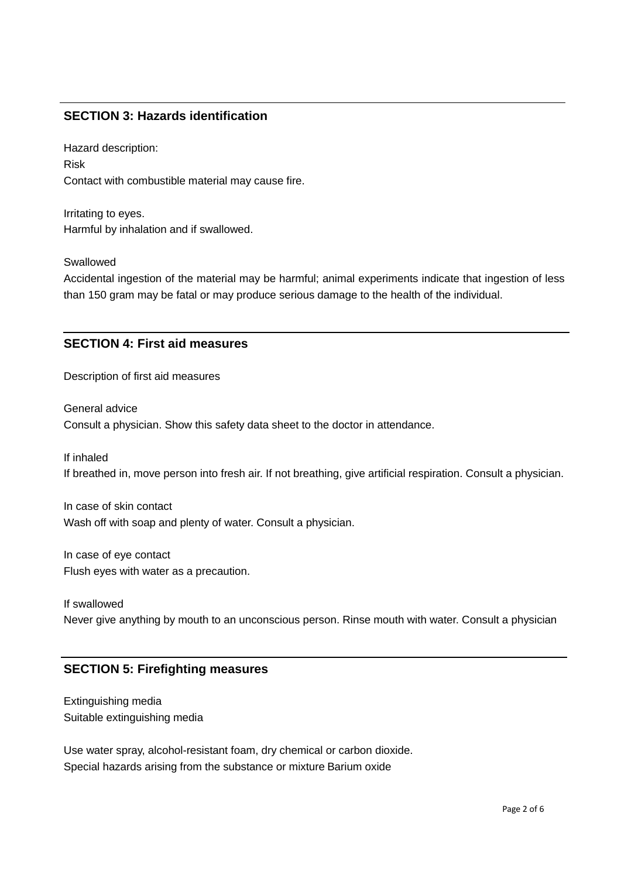## **SECTION 3: Hazards identification**

Hazard description: Risk Contact with combustible material may cause fire.

Irritating to eyes. Harmful by inhalation and if swallowed.

Swallowed

Accidental ingestion of the material may be harmful; animal experiments indicate that ingestion of less than 150 gram may be fatal or may produce serious damage to the health of the individual.

### **SECTION 4: First aid measures**

Description of first aid measures

General advice Consult a physician. Show this safety data sheet to the doctor in attendance.

If inhaled

If breathed in, move person into fresh air. If not breathing, give artificial respiration. Consult a physician.

In case of skin contact Wash off with soap and plenty of water. Consult a physician.

In case of eye contact Flush eyes with water as a precaution.

If swallowed Never give anything by mouth to an unconscious person. Rinse mouth with water. Consult a physician

## **SECTION 5: Firefighting measures**

Extinguishing media Suitable extinguishing media

Use water spray, alcohol-resistant foam, dry chemical or carbon dioxide. Special hazards arising from the substance or mixture Barium oxide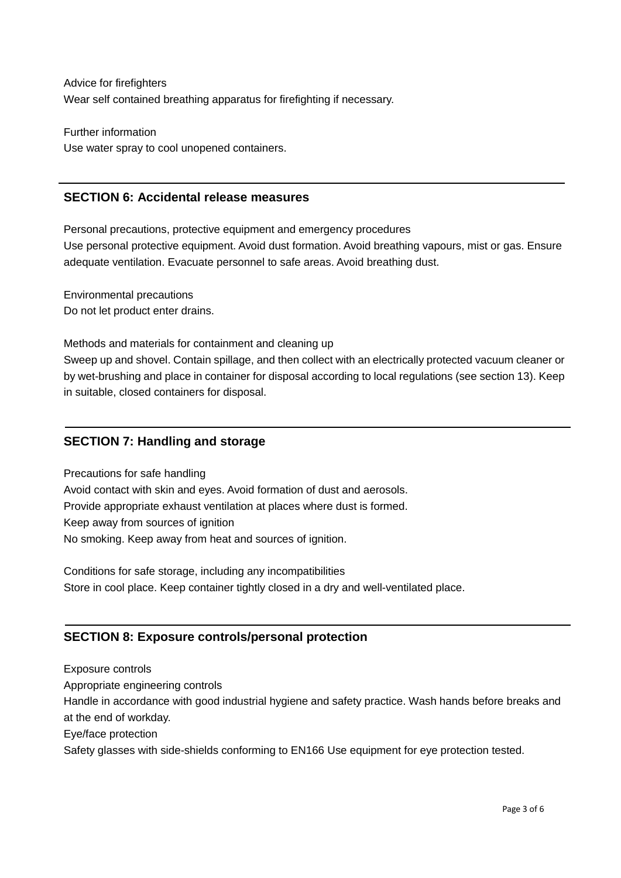Advice for firefighters Wear self contained breathing apparatus for firefighting if necessary.

Further information Use water spray to cool unopened containers.

## **SECTION 6: Accidental release measures**

Personal precautions, protective equipment and emergency procedures Use personal protective equipment. Avoid dust formation. Avoid breathing vapours, mist or gas. Ensure adequate ventilation. Evacuate personnel to safe areas. Avoid breathing dust.

Environmental precautions Do not let product enter drains.

Methods and materials for containment and cleaning up

Sweep up and shovel. Contain spillage, and then collect with an electrically protected vacuum cleaner or by wet-brushing and place in container for disposal according to local regulations (see section 13). Keep in suitable, closed containers for disposal.

## **SECTION 7: Handling and storage**

Precautions for safe handling Avoid contact with skin and eyes. Avoid formation of dust and aerosols. Provide appropriate exhaust ventilation at places where dust is formed. Keep away from sources of ignition No smoking. Keep away from heat and sources of ignition.

Conditions for safe storage, including any incompatibilities Store in cool place. Keep container tightly closed in a dry and well-ventilated place.

## **SECTION 8: Exposure controls/personal protection**

Exposure controls Appropriate engineering controls Handle in accordance with good industrial hygiene and safety practice. Wash hands before breaks and at the end of workday. Eye/face protection Safety glasses with side-shields conforming to EN166 Use equipment for eye protection tested.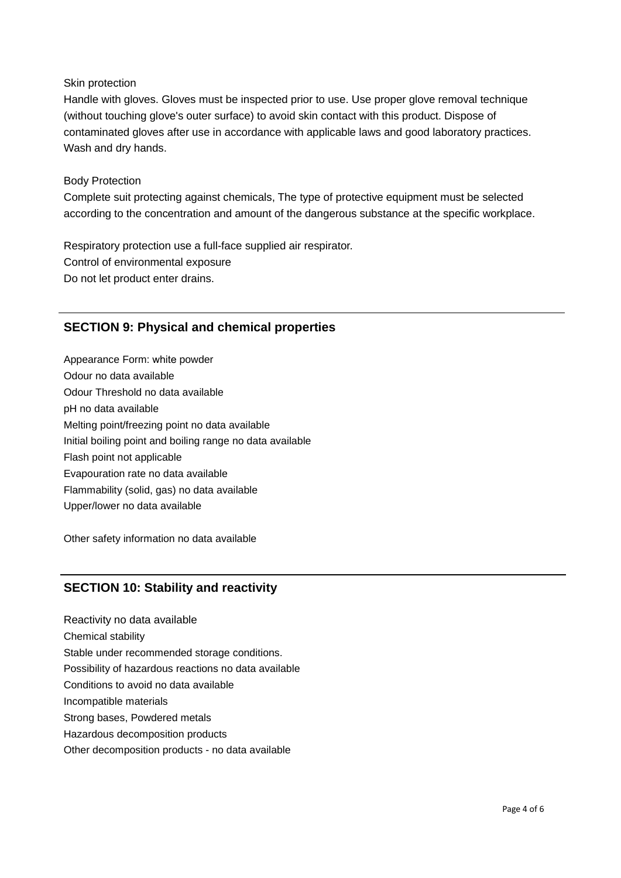#### Skin protection

Handle with gloves. Gloves must be inspected prior to use. Use proper glove removal technique (without touching glove's outer surface) to avoid skin contact with this product. Dispose of contaminated gloves after use in accordance with applicable laws and good laboratory practices. Wash and dry hands.

#### Body Protection

Complete suit protecting against chemicals, The type of protective equipment must be selected according to the concentration and amount of the dangerous substance at the specific workplace.

Respiratory protection use a full-face supplied air respirator. Control of environmental exposure Do not let product enter drains.

## **SECTION 9: Physical and chemical properties**

Appearance Form: white powder Odour no data available Odour Threshold no data available pH no data available Melting point/freezing point no data available Initial boiling point and boiling range no data available Flash point not applicable Evapouration rate no data available Flammability (solid, gas) no data available Upper/lower no data available

Other safety information no data available

## **SECTION 10: Stability and reactivity**

Reactivity no data available Chemical stability Stable under recommended storage conditions. Possibility of hazardous reactions no data available Conditions to avoid no data available Incompatible materials Strong bases, Powdered metals Hazardous decomposition products Other decomposition products - no data available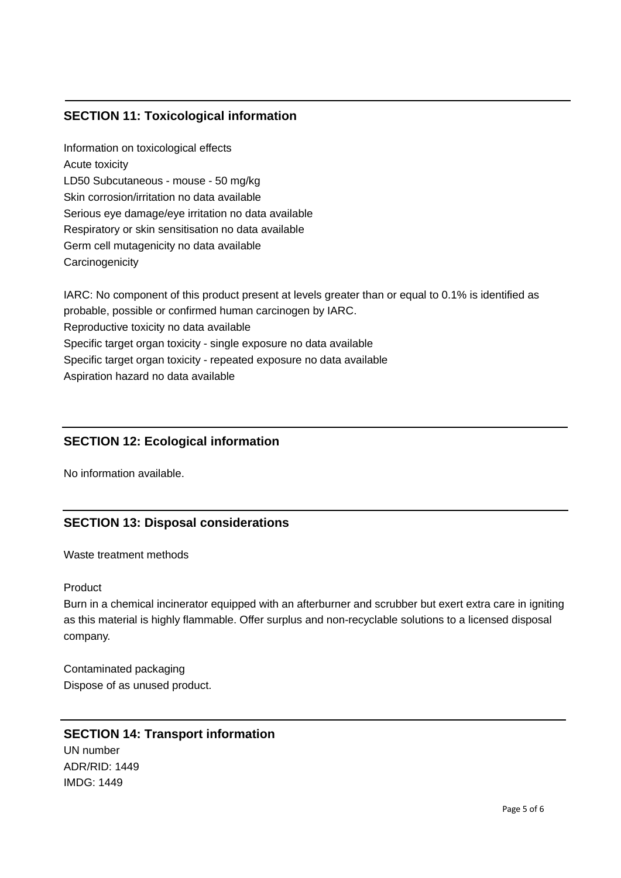## **SECTION 11: Toxicological information**

Information on toxicological effects Acute toxicity LD50 Subcutaneous - mouse - 50 mg/kg Skin corrosion/irritation no data available Serious eye damage/eye irritation no data available Respiratory or skin sensitisation no data available Germ cell mutagenicity no data available **Carcinogenicity** 

IARC: No component of this product present at levels greater than or equal to 0.1% is identified as probable, possible or confirmed human carcinogen by IARC. Reproductive toxicity no data available Specific target organ toxicity - single exposure no data available Specific target organ toxicity - repeated exposure no data available Aspiration hazard no data available

## **SECTION 12: Ecological information**

No information available.

## **SECTION 13: Disposal considerations**

Waste treatment methods

#### Product

Burn in a chemical incinerator equipped with an afterburner and scrubber but exert extra care in igniting as this material is highly flammable. Offer surplus and non-recyclable solutions to a licensed disposal company.

Contaminated packaging Dispose of as unused product.

## **SECTION 14: Transport information** UN number ADR/RID: 1449 IMDG: 1449